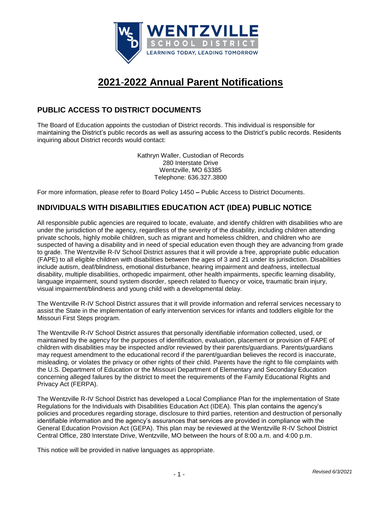

# **2021***-***2022 Annual Parent Notifications**

# **PUBLIC ACCESS TO DISTRICT DOCUMENTS**

The Board of Education appoints the custodian of District records. This individual is responsible for maintaining the District's public records as well as assuring access to the District's public records. Residents inquiring about District records would contact:

> Kathryn Waller, Custodian of Records 280 Interstate Drive Wentzville, MO 63385 Telephone: 636.327.3800

For more information, please refer to Board Policy 1450 *–* Public Access to District Documents.

# **INDIVIDUALS WITH DISABILITIES EDUCATION ACT (IDEA) PUBLIC NOTICE**

All responsible public agencies are required to locate, evaluate, and identify children with disabilities who are under the jurisdiction of the agency, regardless of the severity of the disability, including children attending private schools, highly mobile children, such as migrant and homeless children, and children who are suspected of having a disability and in need of special education even though they are advancing from grade to grade. The Wentzville R-IV School District assures that it will provide a free, appropriate public education (FAPE) to all eligible children with disabilities between the ages of 3 and 21 under its jurisdiction. Disabilities include autism, deaf/blindness, emotional disturbance, hearing impairment and deafness, intellectual disability, multiple disabilities, orthopedic impairment, other health impairments, specific learning disability, language impairment*,* sound system disorder, speech related to fluency or voice*,* traumatic brain injury, visual impairment/blindness and young child with a developmental delay.

The Wentzville R-IV School District assures that it will provide information and referral services necessary to assist the State in the implementation of early intervention services for infants and toddlers eligible for the Missouri First Steps program.

The Wentzville R-IV School District assures that personally identifiable information collected, used, or maintained by the agency for the purposes of identification, evaluation, placement or provision of FAPE of children with disabilities may be inspected and/or reviewed by their parents/guardians. Parents/guardians may request amendment to the educational record if the parent/guardian believes the record is inaccurate, misleading, or violates the privacy or other rights of their child. Parents have the right to file complaints with the U.S. Department of Education or the Missouri Department of Elementary and Secondary Education concerning alleged failures by the district to meet the requirements of the Family Educational Rights and Privacy Act (FERPA).

The Wentzville R-IV School District has developed a Local Compliance Plan for the implementation of State Regulations for the Individuals with Disabilities Education Act (IDEA). This plan contains the agency's policies and procedures regarding storage, disclosure to third parties, retention and destruction of personally identifiable information and the agency's assurances that services are provided in compliance with the General Education Provision Act (GEPA). This plan may be reviewed at the Wentzville R-IV School District Central Office, 280 Interstate Drive, Wentzville, MO between the hours of 8:00 a.m. and 4:00 p.m.

This notice will be provided in native languages as appropriate.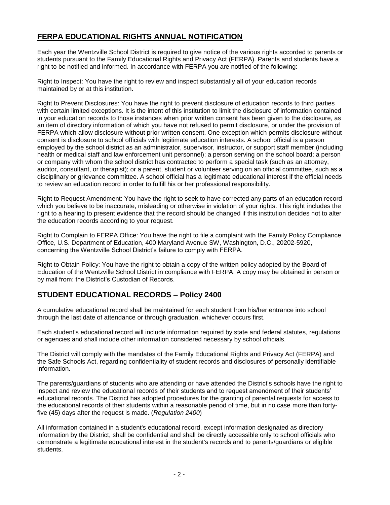# **FERPA EDUCATIONAL RIGHTS ANNUAL NOTIFICATION**

Each year the Wentzville School District is required to give notice of the various rights accorded to parents or students pursuant to the Family Educational Rights and Privacy Act (FERPA). Parents and students have a right to be notified and informed. In accordance with FERPA you are notified of the following:

Right to Inspect: You have the right to review and inspect substantially all of your education records maintained by or at this institution.

Right to Prevent Disclosures: You have the right to prevent disclosure of education records to third parties with certain limited exceptions. It is the intent of this institution to limit the disclosure of information contained in your education records to those instances when prior written consent has been given to the disclosure, as an item of directory information of which you have not refused to permit disclosure, or under the provision of FERPA which allow disclosure without prior written consent. One exception which permits disclosure without consent is disclosure to school officials with legitimate education interests. A school official is a person employed by the school district as an administrator, supervisor, instructor, or support staff member (including health or medical staff and law enforcement unit personnel); a person serving on the school board; a person or company with whom the school district has contracted to perform a special task (such as an attorney, auditor, consultant, or therapist); or a parent, student or volunteer serving on an official committee, such as a disciplinary or grievance committee. A school official has a legitimate educational interest if the official needs to review an education record in order to fulfill his or her professional responsibility.

Right to Request Amendment: You have the right to seek to have corrected any parts of an education record which you believe to be inaccurate, misleading or otherwise in violation of your rights. This right includes the right to a hearing to present evidence that the record should be changed if this institution decides not to alter the education records according to your request.

Right to Complain to FERPA Office: You have the right to file a complaint with the Family Policy Compliance Office, U.S. Department of Education, 400 Maryland Avenue SW, Washington, D.C., 20202-5920, concerning the Wentzville School District's failure to comply with FERPA.

Right to Obtain Policy: You have the right to obtain a copy of the written policy adopted by the Board of Education of the Wentzville School District in compliance with FERPA. A copy may be obtained in person or by mail from: the District's Custodian of Records.

# **STUDENT EDUCATIONAL RECORDS – Policy 2400**

A cumulative educational record shall be maintained for each student from his/her entrance into school through the last date of attendance or through graduation, whichever occurs first.

Each student's educational record will include information required by state and federal statutes, regulations or agencies and shall include other information considered necessary by school officials.

The District will comply with the mandates of the Family Educational Rights and Privacy Act (FERPA) and the Safe Schools Act, regarding confidentiality of student records and disclosures of personally identifiable information.

The parents/guardians of students who are attending or have attended the District's schools have the right to inspect and review the educational records of their students and to request amendment of their students' educational records. The District has adopted procedures for the granting of parental requests for access to the educational records of their students within a reasonable period of time, but in no case more than fortyfive (45) days after the request is made. (*Regulation 2400*)

All information contained in a student's educational record, except information designated as directory information by the District, shall be confidential and shall be directly accessible only to school officials who demonstrate a legitimate educational interest in the student's records and to parents/guardians or eligible students.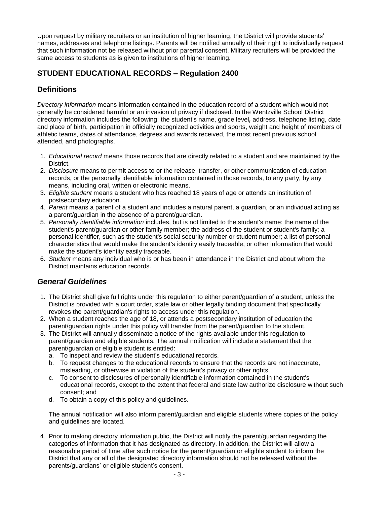Upon request by military recruiters or an institution of higher learning, the District will provide students' names, addresses and telephone listings. Parents will be notified annually of their right to individually request that such information not be released without prior parental consent. Military recruiters will be provided the same access to students as is given to institutions of higher learning.

# **STUDENT EDUCATIONAL RECORDS – Regulation 2400**

# **Definitions**

*Directory information* means information contained in the education record of a student which would not generally be considered harmful or an invasion of privacy if disclosed. In the Wentzville School District directory information includes the following: the student's name, grade level*,* address, telephone listing, date and place of birth, participation in officially recognized activities and sports, weight and height of members of athletic teams, dates of attendance, degrees and awards received, the most recent previous school attended, and photographs.

- 1. *Educational record* means those records that are directly related to a student and are maintained by the **District**
- 2. *Disclosure* means to permit access to or the release, transfer, or other communication of education records, or the personally identifiable information contained in those records, to any party, by any means, including oral, written or electronic means.
- 3. *Eligible student* means a student who has reached 18 years of age or attends an institution of postsecondary education.
- 4. *Parent* means a parent of a student and includes a natural parent, a guardian, or an individual acting as a parent/guardian in the absence of a parent/guardian.
- 5. *Personally identifiable information* includes, but is not limited to the student's name; the name of the student's parent/guardian or other family member; the address of the student or student's family; a personal identifier, such as the student's social security number or student number; a list of personal characteristics that would make the student's identity easily traceable, or other information that would make the student's identity easily traceable.
- 6. *Student* means any individual who is or has been in attendance in the District and about whom the District maintains education records.

# *General Guidelines*

- 1. The District shall give full rights under this regulation to either parent/guardian of a student, unless the District is provided with a court order, state law or other legally binding document that specifically revokes the parent/guardian's rights to access under this regulation.
- 2. When a student reaches the age of 18, or attends a postsecondary institution of education the parent/guardian rights under this policy will transfer from the parent/guardian to the student.
- 3. The District will annually disseminate a notice of the rights available under this regulation to parent/guardian and eligible students. The annual notification will include a statement that the parent/guardian or eligible student is entitled:
	- a. To inspect and review the student's educational records.
	- b. To request changes to the educational records to ensure that the records are not inaccurate, misleading, or otherwise in violation of the student's privacy or other rights.
	- c. To consent to disclosures of personally identifiable information contained in the student's educational records, except to the extent that federal and state law authorize disclosure without such consent; and
	- d. To obtain a copy of this policy and guidelines.

The annual notification will also inform parent/guardian and eligible students where copies of the policy and guidelines are located.

4. Prior to making directory information public, the District will notify the parent/guardian regarding the categories of information that it has designated as directory. In addition, the District will allow a reasonable period of time after such notice for the parent/guardian or eligible student to inform the District that any or all of the designated directory information should not be released without the parents/guardians' or eligible student's consent.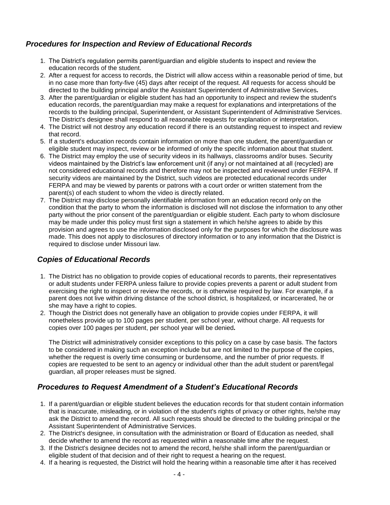### *Procedures for Inspection and Review of Educational Records*

- 1. The District's regulation permits parent/guardian and eligible students to inspect and review the education records of the student.
- 2. After a request for access to records, the District will allow access within a reasonable period of time, but in no case more than forty-five (45) days after receipt of the request. All requests for access should be directed to the building principal and/or the Assistant Superintendent of Administrative Services*.*
- 3. After the parent/guardian or eligible student has had an opportunity to inspect and review the student's education records, the parent/guardian may make a request for explanations and interpretations of the records to the building principal, Superintendent, or Assistant Superintendent of Administrative Services. The District's designee shall respond to all reasonable requests for explanation or interpretation*.*
- 4. The District will not destroy any education record if there is an outstanding request to inspect and review that record.
- 5. If a student's education records contain information on more than one student, the parent/guardian or eligible student may inspect, review or be informed of only the specific information about that student.
- 6. The District may employ the use of security videos in its hallways, classrooms and/or buses. Security videos maintained by the District's law enforcement unit (if any) or not maintained at all (recycled) are not considered educational records and therefore may not be inspected and reviewed under FERPA. If security videos are maintained by the District, such videos are protected educational records under FERPA and may be viewed by parents or patrons with a court order or written statement from the parent(s) of each student to whom the video is directly related.
- 7. The District may disclose personally identifiable information from an education record only on the condition that the party to whom the information is disclosed will not disclose the information to any other party without the prior consent of the parent/guardian or eligible student. Each party to whom disclosure may be made under this policy must first sign a statement in which he/she agrees to abide by this provision and agrees to use the information disclosed only for the purposes for which the disclosure was made. This does not apply to disclosures of directory information or to any information that the District is required to disclose under Missouri law.

# *Copies of Educational Records*

- 1. The District has no obligation to provide copies of educational records to parents, their representatives or adult students under FERPA unless failure to provide copies prevents a parent or adult student from exercising the right to inspect or review the records, or is otherwise required by law. For example, if a parent does not live within driving distance of the school district, is hospitalized, or incarcerated, he or she may have a right to copies.
- 2. Though the District does not generally have an obligation to provide copies under FERPA, it will nonetheless provide up to 100 pages per student, per school year, without charge. All requests for copies over 100 pages per student, per school year will be denied*.*

The District will administratively consider exceptions to this policy on a case by case basis. The factors to be considered in making such an exception include but are not limited to the purpose of the copies, whether the request is overly time consuming or burdensome, and the number of prior requests. If copies are requested to be sent to an agency or individual other than the adult student or parent/legal guardian, all proper releases must be signed.

# *Procedures to Request Amendment of a Student's Educational Records*

- 1. If a parent/guardian or eligible student believes the education records for that student contain information that is inaccurate, misleading, or in violation of the student's rights of privacy or other rights, he/she may ask the District to amend the record. All such requests should be directed to the building principal or the Assistant Superintendent of Administrative Services.
- 2. The District's designee, in consultation with the administration or Board of Education as needed, shall decide whether to amend the record as requested within a reasonable time after the request.
- 3. If the District's designee decides not to amend the record, he/she shall inform the parent/guardian or eligible student of that decision and of their right to request a hearing on the request.
- 4. If a hearing is requested, the District will hold the hearing within a reasonable time after it has received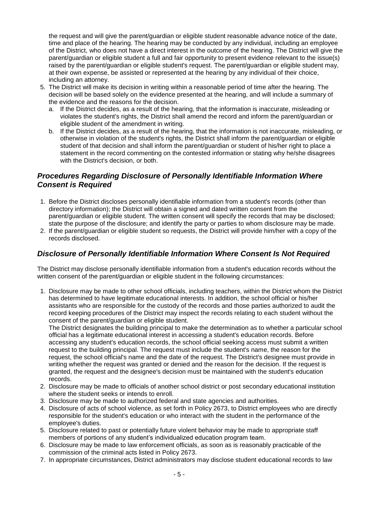the request and will give the parent/guardian or eligible student reasonable advance notice of the date, time and place of the hearing. The hearing may be conducted by any individual, including an employee of the District, who does not have a direct interest in the outcome of the hearing. The District will give the parent/guardian or eligible student a full and fair opportunity to present evidence relevant to the issue(s) raised by the parent/guardian or eligible student's request. The parent/guardian or eligible student may, at their own expense, be assisted or represented at the hearing by any individual of their choice, including an attorney.

- 5. The District will make its decision in writing within a reasonable period of time after the hearing. The decision will be based solely on the evidence presented at the hearing, and will include a summary of the evidence and the reasons for the decision.
	- a. If the District decides, as a result of the hearing, that the information is inaccurate, misleading or violates the student's rights, the District shall amend the record and inform the parent/guardian or eligible student of the amendment in writing.
	- b. If the District decides, as a result of the hearing, that the information is not inaccurate, misleading, or otherwise in violation of the student's rights, the District shall inform the parent/guardian or eligible student of that decision and shall inform the parent/guardian or student of his/her right to place a statement in the record commenting on the contested information or stating why he/she disagrees with the District's decision, or both.

### *Procedures Regarding Disclosure of Personally Identifiable Information Where Consent is Required*

- 1. Before the District discloses personally identifiable information from a student's records (other than directory information); the District will obtain a signed and dated written consent from the parent/guardian or eligible student. The written consent will specify the records that may be disclosed; state the purpose of the disclosure; and identify the party or parties to whom disclosure may be made.
- 2. If the parent/guardian or eligible student so requests, the District will provide him/her with a copy of the records disclosed.

# *Disclosure of Personally Identifiable Information Where Consent Is Not Required*

The District may disclose personally identifiable information from a student's education records without the written consent of the parent/guardian or eligible student in the following circumstances:

1. Disclosure may be made to other school officials, including teachers, within the District whom the District has determined to have legitimate educational interests. In addition, the school official or his/her assistants who are responsible for the custody of the records and those parties authorized to audit the record keeping procedures of the District may inspect the records relating to each student without the consent of the parent/guardian or eligible student.

The District designates the building principal to make the determination as to whether a particular school official has a legitimate educational interest in accessing a student's education records. Before accessing any student's education records, the school official seeking access must submit a written request to the building principal. The request must include the student's name, the reason for the request, the school official's name and the date of the request. The District's designee must provide in writing whether the request was granted or denied and the reason for the decision. If the request is granted, the request and the designee's decision must be maintained with the student's education records.

- 2. Disclosure may be made to officials of another school district or post secondary educational institution where the student seeks or intends to enroll.
- 3. Disclosure may be made to authorized federal and state agencies and authorities.
- 4. Disclosure of acts of school violence, as set forth in Policy 2673, to District employees who are directly responsible for the student's education or who interact with the student in the performance of the employee's duties.
- 5. Disclosure related to past or potentially future violent behavior may be made to appropriate staff members of portions of any student's individualized education program team.
- 6. Disclosure may be made to law enforcement officials, as soon as is reasonably practicable of the commission of the criminal acts listed in Policy 2673.
- 7. In appropriate circumstances, District administrators may disclose student educational records to law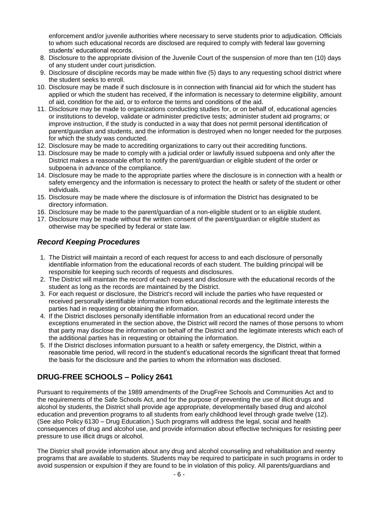enforcement and/or juvenile authorities where necessary to serve students prior to adjudication. Officials to whom such educational records are disclosed are required to comply with federal law governing students' educational records.

- 8. Disclosure to the appropriate division of the Juvenile Court of the suspension of more than ten (10) days of any student under court jurisdiction.
- 9. Disclosure of discipline records may be made within five (5) days to any requesting school district where the student seeks to enroll.
- 10. Disclosure may be made if such disclosure is in connection with financial aid for which the student has applied or which the student has received, if the information is necessary to determine eligibility, amount of aid, condition for the aid, or to enforce the terms and conditions of the aid.
- 11. Disclosure may be made to organizations conducting studies for, or on behalf of, educational agencies or institutions to develop, validate or administer predictive tests; administer student aid programs; or improve instruction, if the study is conducted in a way that does not permit personal identification of parent/guardian and students, and the information is destroyed when no longer needed for the purposes for which the study was conducted.
- 12. Disclosure may be made to accrediting organizations to carry out their accrediting functions.
- 13. Disclosure may be made to comply with a judicial order or lawfully issued subpoena and only after the District makes a reasonable effort to notify the parent/guardian or eligible student of the order or subpoena in advance of the compliance.
- 14. Disclosure may be made to the appropriate parties where the disclosure is in connection with a health or safety emergency and the information is necessary to protect the health or safety of the student or other individuals.
- 15. Disclosure may be made where the disclosure is of information the District has designated to be directory information.
- 16. Disclosure may be made to the parent/guardian of a non-eligible student or to an eligible student.
- 17. Disclosure may be made without the written consent of the parent/guardian or eligible student as otherwise may be specified by federal or state law.

### *Record Keeping Procedures*

- 1. The District will maintain a record of each request for access to and each disclosure of personally identifiable information from the educational records of each student. The building principal will be responsible for keeping such records of requests and disclosures.
- 2. The District will maintain the record of each request and disclosure with the educational records of the student as long as the records are maintained by the District.
- 3. For each request or disclosure, the District's record will include the parties who have requested or received personally identifiable information from educational records and the legitimate interests the parties had in requesting or obtaining the information.
- 4. If the District discloses personally identifiable information from an educational record under the exceptions enumerated in the section above, the District will record the names of those persons to whom that party may disclose the information on behalf of the District and the legitimate interests which each of the additional parties has in requesting or obtaining the information.
- 5. If the District discloses information pursuant to a health or safety emergency, the District, within a reasonable time period, will record in the student's educational records the significant threat that formed the basis for the disclosure and the parties to whom the information was disclosed.

# **DRUG-FREE SCHOOLS – Policy 2641**

Pursuant to requirements of the 1989 amendments of the DrugFree Schools and Communities Act and to the requirements of the Safe Schools Act, and for the purpose of preventing the use of illicit drugs and alcohol by students, the District shall provide age appropriate, developmentally based drug and alcohol education and prevention programs to all students from early childhood level through grade twelve (12). (See also Policy 6130 – Drug Education.) Such programs will address the legal, social and health consequences of drug and alcohol use, and provide information about effective techniques for resisting peer pressure to use illicit drugs or alcohol.

The District shall provide information about any drug and alcohol counseling and rehabilitation and reentry programs that are available to students. Students may be required to participate in such programs in order to avoid suspension or expulsion if they are found to be in violation of this policy. All parents/guardians and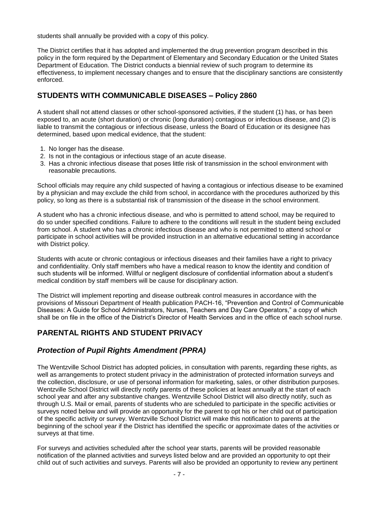students shall annually be provided with a copy of this policy.

The District certifies that it has adopted and implemented the drug prevention program described in this policy in the form required by the Department of Elementary and Secondary Education or the United States Department of Education. The District conducts a biennial review of such program to determine its effectiveness, to implement necessary changes and to ensure that the disciplinary sanctions are consistently enforced.

# **STUDENTS WITH COMMUNICABLE DISEASES – Policy 2860**

A student shall not attend classes or other school-sponsored activities, if the student (1) has, or has been exposed to, an acute (short duration) or chronic (long duration) contagious or infectious disease, and (2) is liable to transmit the contagious or infectious disease, unless the Board of Education or its designee has determined, based upon medical evidence, that the student:

- 1. No longer has the disease.
- 2. Is not in the contagious or infectious stage of an acute disease.
- 3. Has a chronic infectious disease that poses little risk of transmission in the school environment with reasonable precautions.

School officials may require any child suspected of having a contagious or infectious disease to be examined by a physician and may exclude the child from school, in accordance with the procedures authorized by this policy, so long as there is a substantial risk of transmission of the disease in the school environment.

A student who has a chronic infectious disease, and who is permitted to attend school, may be required to do so under specified conditions. Failure to adhere to the conditions will result in the student being excluded from school. A student who has a chronic infectious disease and who is not permitted to attend school or participate in school activities will be provided instruction in an alternative educational setting in accordance with District policy.

Students with acute or chronic contagious or infectious diseases and their families have a right to privacy and confidentiality. Only staff members who have a medical reason to know the identity and condition of such students will be informed. Willful or negligent disclosure of confidential information about a student's medical condition by staff members will be cause for disciplinary action.

The District will implement reporting and disease outbreak control measures in accordance with the provisions of Missouri Department of Health publication PACH-16, "Prevention and Control of Communicable Diseases: A Guide for School Administrators, Nurses, Teachers and Day Care Operators," a copy of which shall be on file in the office of the District's Director of Health Services and in the office of each school nurse.

# **PARENTAL RIGHTS AND STUDENT PRIVACY**

# *Protection of Pupil Rights Amendment (PPRA)*

The Wentzville School District has adopted policies, in consultation with parents, regarding these rights, as well as arrangements to protect student privacy in the administration of protected information surveys and the collection, disclosure, or use of personal information for marketing, sales, or other distribution purposes. Wentzville School District will directly notify parents of these policies at least annually at the start of each school year and after any substantive changes. Wentzville School District will also directly notify, such as through U.S. Mail or email, parents of students who are scheduled to participate in the specific activities or surveys noted below and will provide an opportunity for the parent to opt his or her child out of participation of the specific activity or survey. Wentzville School District will make this notification to parents at the beginning of the school year if the District has identified the specific or approximate dates of the activities or surveys at that time.

For surveys and activities scheduled after the school year starts, parents will be provided reasonable notification of the planned activities and surveys listed below and are provided an opportunity to opt their child out of such activities and surveys. Parents will also be provided an opportunity to review any pertinent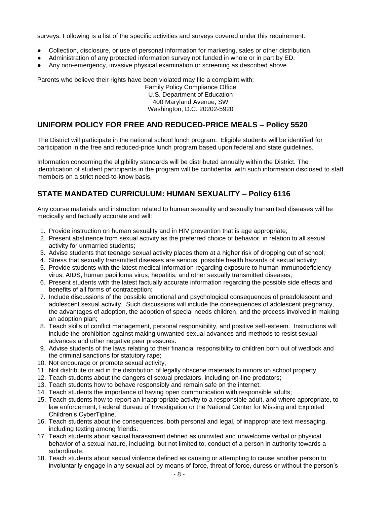surveys. Following is a list of the specific activities and surveys covered under this requirement:

- Collection, disclosure, or use of personal information for marketing, sales or other distribution.
- Administration of any protected information survey not funded in whole or in part by ED.
- Any non-emergency, invasive physical examination or screening as described above.

Parents who believe their rights have been violated may file a complaint with:

Family Policy Compliance Office U.S. Department of Education 400 Maryland Avenue, SW Washington, D.C. 20202-5920

### **UNIFORM POLICY FOR FREE AND REDUCED-PRICE MEALS – Policy 5520**

The District will participate in the national school lunch program. Eligible students will be identified for participation in the free and reduced-price lunch program based upon federal and state guidelines.

Information concerning the eligibility standards will be distributed annually within the District. The identification of student participants in the program will be confidential with such information disclosed to staff members on a strict need-to-know basis.

### **STATE MANDATED CURRICULUM: HUMAN SEXUALITY – Policy 6116**

Any course materials and instruction related to human sexuality and sexually transmitted diseases will be medically and factually accurate and will:

- 1. Provide instruction on human sexuality and in HIV prevention that is age appropriate;
- 2. Present abstinence from sexual activity as the preferred choice of behavior, in relation to all sexual activity for unmarried students;
- 3. Advise students that teenage sexual activity places them at a higher risk of dropping out of school;
- 4. Stress that sexually transmitted diseases are serious, possible health hazards of sexual activity;
- 5. Provide students with the latest medical information regarding exposure to human immunodeficiency virus, AIDS, human papilloma virus, hepatitis, and other sexually transmitted diseases;
- 6. Present students with the latest factually accurate information regarding the possible side effects and benefits of all forms of contraception;
- 7. Include discussions of the possible emotional and psychological consequences of preadolescent and adolescent sexual activity. Such discussions will include the consequences of adolescent pregnancy, the advantages of adoption, the adoption of special needs children, and the process involved in making an adoption plan;
- 8. Teach skills of conflict management, personal responsibility, and positive self-esteem. Instructions will include the prohibition against making unwanted sexual advances and methods to resist sexual advances and other negative peer pressures.
- 9. Advise students of the laws relating to their financial responsibility to children born out of wedlock and the criminal sanctions for statutory rape;
- 10. Not encourage or promote sexual activity;
- 11. Not distribute or aid in the distribution of legally obscene materials to minors on school property.
- 12. Teach students about the dangers of sexual predators, including on-line predators;
- 13. Teach students how to behave responsibly and remain safe on the internet;
- 14. Teach students the importance of having open communication with responsible adults;
- 15. Teach students how to report an inappropriate activity to a responsible adult, and where appropriate, to law enforcement, Federal Bureau of Investigation or the National Center for Missing and Exploited Children's CyberTipline.
- 16. Teach students about the consequences, both personal and legal, of inappropriate text messaging, including texting among friends.
- 17. Teach students about sexual harassment defined as uninvited and unwelcome verbal or physical behavior of a sexual nature, including, but not limited to, conduct of a person in authority towards a subordinate.
- 18. Teach students about sexual violence defined as causing or attempting to cause another person to involuntarily engage in any sexual act by means of force, threat of force, duress or without the person's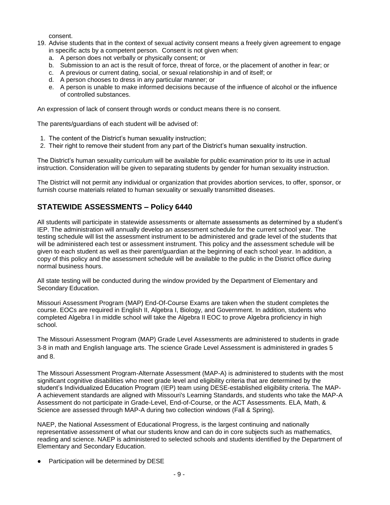consent.

- 19. Advise students that in the context of sexual activity consent means a freely given agreement to engage in specific acts by a competent person. Consent is not given when:
	- a. A person does not verbally or physically consent; or
	- b. Submission to an act is the result of force, threat of force, or the placement of another in fear; or
	- c. A previous or current dating, social, or sexual relationship in and of itself; or
	- d. A person chooses to dress in any particular manner; or
	- e. A person is unable to make informed decisions because of the influence of alcohol or the influence of controlled substances.

An expression of lack of consent through words or conduct means there is no consent.

The parents/guardians of each student will be advised of:

- 1. The content of the District's human sexuality instruction;
- 2. Their right to remove their student from any part of the District's human sexuality instruction.

The District's human sexuality curriculum will be available for public examination prior to its use in actual instruction. Consideration will be given to separating students by gender for human sexuality instruction.

The District will not permit any individual or organization that provides abortion services, to offer, sponsor, or furnish course materials related to human sexuality or sexually transmitted diseases.

### **STATEWIDE ASSESSMENTS – Policy 6440**

All students will participate in statewide assessments or alternate assessments as determined by a student's IEP. The administration will annually develop an assessment schedule for the current school year. The testing schedule will list the assessment instrument to be administered and grade level of the students that will be administered each test or assessment instrument. This policy and the assessment schedule will be given to each student as well as their parent/guardian at the beginning of each school year. In addition, a copy of this policy and the assessment schedule will be available to the public in the District office during normal business hours.

All state testing will be conducted during the window provided by the Department of Elementary and Secondary Education.

Missouri Assessment Program (MAP) End-Of-Course Exams are taken when the student completes the course. EOCs are required in English II, Algebra I, Biology, and Government. In addition, students who completed Algebra I in middle school will take the Algebra II EOC to prove Algebra proficiency in high school.

The Missouri Assessment Program (MAP) Grade Level Assessments are administered to students in grade 3-8 in math and English language arts. The science Grade Level Assessment is administered in grades 5 and 8.

The Missouri Assessment Program-Alternate Assessment (MAP-A) is administered to students with the most significant cognitive disabilities who meet grade level and eligibility criteria that are determined by the student's Individualized Education Program (IEP) team using DESE-established eligibility criteria. The MAP-A achievement standards are aligned with Missouri's Learning Standards, and students who take the MAP-A Assessment do not participate in Grade-Level, End-of-Course, or the ACT Assessments. ELA, Math, & Science are assessed through MAP-A during two collection windows (Fall & Spring).

NAEP, the National Assessment of Educational Progress, is the largest continuing and nationally representative assessment of what our students know and can do in core subjects such as mathematics, reading and science. NAEP is administered to selected schools and students identified by the Department of Elementary and Secondary Education.

Participation will be determined by DESE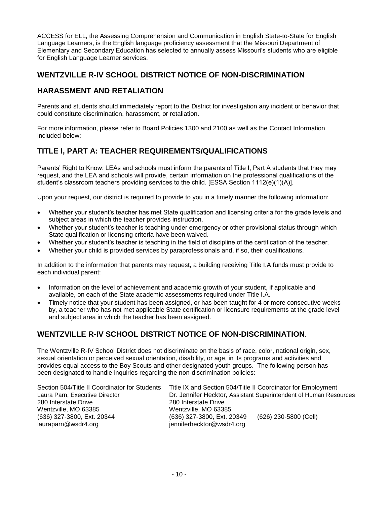ACCESS for ELL, the Assessing Comprehension and Communication in English State-to-State for English Language Learners, is the English language proficiency assessment that the Missouri Department of Elementary and Secondary Education has selected to annually assess Missouri's students who are eligible for English Language Learner services.

# **WENTZVILLE R-IV SCHOOL DISTRICT NOTICE OF NON-DISCRIMINATION**

# **HARASSMENT AND RETALIATION**

Parents and students should immediately report to the District for investigation any incident or behavior that could constitute discrimination, harassment, or retaliation.

For more information, please refer to Board Policies 1300 and 2100 as well as the Contact Information included below:

### **TITLE I, PART A: TEACHER REQUIREMENTS/QUALIFICATIONS**

Parents' Right to Know: LEAs and schools must inform the parents of Title I, Part A students that they may request, and the LEA and schools will provide, certain information on the professional qualifications of the student's classroom teachers providing services to the child. [ESSA Section 1112(e)(1)(A)].

Upon your request, our district is required to provide to you in a timely manner the following information:

- Whether your student's teacher has met State qualification and licensing criteria for the grade levels and subject areas in which the teacher provides instruction.
- Whether your student's teacher is teaching under emergency or other provisional status through which State qualification or licensing criteria have been waived.
- Whether your student's teacher is teaching in the field of discipline of the certification of the teacher.
- Whether your child is provided services by paraprofessionals and, if so, their qualifications.

In addition to the information that parents may request, a building receiving Title I.A funds must provide to each individual parent:

- Information on the level of achievement and academic growth of your student, if applicable and available, on each of the State academic assessments required under Title I.A.
- Timely notice that your student has been assigned, or has been taught for 4 or more consecutive weeks by, a teacher who has not met applicable State certification or licensure requirements at the grade level and subject area in which the teacher has been assigned.

# **WENTZVILLE R-IV SCHOOL DISTRICT NOTICE OF NON-DISCRIMINATION**.

The Wentzville R-IV School District does not discriminate on the basis of race, color, national origin, sex, sexual orientation or perceived sexual orientation, disability, or age, in its programs and activities and provides equal access to the Boy Scouts and other designated youth groups. The following person has been designated to handle inquiries regarding the non-discrimination policies:

| Section 504/Title II Coordinator for Students | Title IX and Section 504/Title II Coordinator for Employment |                                                                   |
|-----------------------------------------------|--------------------------------------------------------------|-------------------------------------------------------------------|
| Laura Parn, Executive Director                |                                                              | Dr. Jennifer Hecktor, Assistant Superintendent of Human Resources |
| 280 Interstate Drive                          | 280 Interstate Drive                                         |                                                                   |
| Wentzville, MO 63385                          | Wentzville, MO 63385                                         |                                                                   |
| (636) 327-3800, Ext. 20344                    | (636) 327-3800, Ext. 20349                                   | (626) 230-5800 (Cell)                                             |
| lauraparn@wsdr4.org                           | jenniferhecktor@wsdr4.org                                    |                                                                   |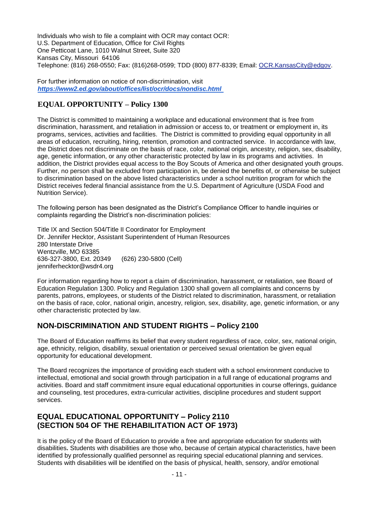Individuals who wish to file a complaint with OCR may contact OCR: U.S. Department of Education, Office for Civil Rights One Petticoat Lane, 1010 Walnut Street, Suite 320 Kansas City, Missouri 64106 Telephone: (816) 268-0550; Fax: (816)268-0599; TDD (800) 877-8339; Email: [OCR.KansasCity@edgov.](about:blank)

For further information on notice of non-discrimination, visit *<https://www2.ed.gov/about/offices/list/ocr/docs/nondisc.html>*

### **EQUAL OPPORTUNITY – Policy 1300**

The District is committed to maintaining a workplace and educational environment that is free from discrimination, harassment, and retaliation in admission or access to, or treatment or employment in, its programs, services, activities and facilities. The District is committed to providing equal opportunity in all areas of education, recruiting, hiring, retention, promotion and contracted service. In accordance with law, the District does not discriminate on the basis of race, color, national origin, ancestry, religion, sex, disability, age, genetic information, or any other characteristic protected by law in its programs and activities. In addition, the District provides equal access to the Boy Scouts of America and other designated youth groups. Further, no person shall be excluded from participation in, be denied the benefits of, or otherwise be subject to discrimination based on the above listed characteristics under a school nutrition program for which the District receives federal financial assistance from the U.S. Department of Agriculture (USDA Food and Nutrition Service).

The following person has been designated as the District's Compliance Officer to handle inquiries or complaints regarding the District's non-discrimination policies:

Title IX and Section 504/Title II Coordinator for Employment Dr. Jennifer Hecktor, Assistant Superintendent of Human Resources 280 Interstate Drive Wentzville, MO 63385 636-327-3800, Ext. 20349 (626) 230-5800 (Cell) jenniferhecktor@wsdr4.org

For information regarding how to report a claim of discrimination, harassment, or retaliation, see Board of Education Regulation 1300. Policy and Regulation 1300 shall govern all complaints and concerns by parents, patrons, employees, or students of the District related to discrimination, harassment, or retaliation on the basis of race, color, national origin, ancestry, religion, sex, disability, age, genetic information, or any other characteristic protected by law.

# **NON-DISCRIMINATION AND STUDENT RIGHTS – Policy 2100**

The Board of Education reaffirms its belief that every student regardless of race, color, sex, national origin, age, ethnicity, religion, disability, sexual orientation or perceived sexual orientation be given equal opportunity for educational development.

The Board recognizes the importance of providing each student with a school environment conducive to intellectual, emotional and social growth through participation in a full range of educational programs and activities. Board and staff commitment insure equal educational opportunities in course offerings, guidance and counseling, test procedures, extra-curricular activities, discipline procedures and student support services.

### **EQUAL EDUCATIONAL OPPORTUNITY – Policy 2110 (SECTION 504 OF THE REHABILITATION ACT OF 1973)**

It is the policy of the Board of Education to provide a free and appropriate education for students with disabilities*.* Students with disabilities are those who, because of certain atypical characteristics, have been identified by professionally qualified personnel as requiring special educational planning and services. Students with disabilities will be identified on the basis of physical, health, sensory, and/or emotional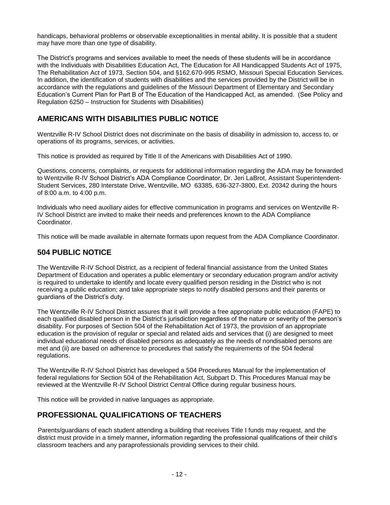handicaps, behavioral problems or observable exceptionalities in mental ability. It is possible that a student may have more than one type of disability.

The District's programs and services available to meet the needs of these students will be in accordance with the Individuals with Disabilities Education Act, The Education for All Handicapped Students Act of 1975, The Rehabilitation Act of 1973, Section 504, and §162.670-995 RSMO, Missouri Special Education Services. In addition, the identification of students with disabilities and the services provided by the District will be in accordance with the regulations and guidelines of the Missouri Department of Elementary and Secondary Education's Current Plan for Part B of The Education of the Handicapped Act, as amended. (See Policy and Regulation 6250 – Instruction for Students with Disabilities)

# **AMERICANS WITH DISABILITIES PUBLIC NOTICE**

Wentzville R-IV School District does not discriminate on the basis of disability in admission to, access to, or operations of its programs, services, or activities.

This notice is provided as required by Title II of the Americans with Disabilities Act of 1990.

Questions, concerns, complaints, or requests for additional information regarding the ADA may be forwarded to Wentzville R-IV School District's ADA Compliance Coordinator, Dr. Jeri LaBrot, Assistant Superintendent-Student Services, 280 Interstate Drive, Wentzville, MO 63385, 636-327-3800, Ext. 20342 during the hours of 8:00 a.m. to 4:00 p.m.

Individuals who need auxiliary aides for effective communication in programs and services on Wentzville R-IV School District are invited to make their needs and preferences known to the ADA Compliance Coordinator.

This notice will be made available in alternate formats upon request from the ADA Compliance Coordinator.

### **504 PUBLIC NOTICE**

The Wentzville R-IV School District, as a recipient of federal financial assistance from the United States Department of Education and operates a public elementary or secondary education program and/or activity is required to undertake to identify and locate every qualified person residing in the District who is not receiving a public education; and take appropriate steps to notify disabled persons and their parents or guardians of the District's duty.

The Wentzville R-IV School District assures that it will provide a free appropriate public education (FAPE) to each qualified disabled person in the District's jurisdiction regardless of the nature or severity of the person's disability. For purposes of Section 504 of the Rehabilitation Act of 1973, the provision of an appropriate education is the provision of regular or special and related aids and services that (i) are designed to meet individual educational needs of disabled persons as adequately as the needs of nondisabled persons are met and (ii) are based on adherence to procedures that satisfy the requirements of the 504 federal regulations.

The Wentzville R-IV School District has developed a 504 Procedures Manual for the implementation of federal regulations for Section 504 of the Rehabilitation Act, Subpart D. This Procedures Manual may be reviewed at the Wentzville R-IV School District Central Office during regular business hours.

This notice will be provided in native languages as appropriate.

### **PROFESSIONAL QUALIFICATIONS OF TEACHERS**

Parents/guardians of each student attending a building that receives Title I funds may request, and the district must provide in a timely manner*,* information regarding the professional qualifications of their child's classroom teachers and any paraprofessionals providing services to their child.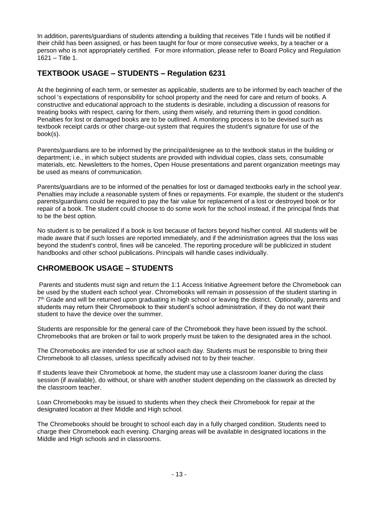In addition, parents/guardians of students attending a building that receives Title I funds will be notified if their child has been assigned, or has been taught for four or more consecutive weeks, by a teacher or a person who is not appropriately certified. For more information, please refer to Board Policy and Regulation 1621 – Title 1.

# **TEXTBOOK USAGE – STUDENTS – Regulation 6231**

At the beginning of each term, or semester as applicable, students are to be informed by each teacher of the school 's expectations of responsibility for school property and the need for care and return of books. A constructive and educational approach to the students is desirable, including a discussion of reasons for treating books with respect, caring for them, using them wisely, and returning them in good condition. Penalties for lost or damaged books are to be outlined. A monitoring process is to be devised such as textbook receipt cards or other charge-out system that requires the student's signature for use of the book(s).

Parents/guardians are to be informed by the principal/designee as to the textbook status in the building or department; i.e., in which subject students are provided with individual copies, class sets, consumable materials, etc. Newsletters to the homes, Open House presentations and parent organization meetings may be used as means of communication.

Parents/guardians are to be informed of the penalties for lost or damaged textbooks early in the school year. Penalties may include a reasonable system of fines or repayments. For example, the student or the student's parents/guardians could be required to pay the fair value for replacement of a lost or destroyed book or for repair of a book. The student could choose to do some work for the school instead, if the principal finds that to be the best option.

No student is to be penalized if a book is lost because of factors beyond his/her control. All students will be made aware that if such losses are reported immediately, and if the administration agrees that the loss was beyond the student's control, fines will be canceled. The reporting procedure will be publicized in student handbooks and other school publications. Principals will handle cases individually.

# **CHROMEBOOK USAGE – STUDENTS**

Parents and students must sign and return the 1:1 Access Initiative Agreement before the Chromebook can be used by the student each school year. Chromebooks will remain in possession of the student starting in 7<sup>th</sup> Grade and will be returned upon graduating in high school or leaving the district. Optionally, parents and students may return their Chromebook to their student's school administration, if they do not want their student to have the device over the summer.

Students are responsible for the general care of the Chromebook they have been issued by the school. Chromebooks that are broken or fail to work properly must be taken to the designated area in the school.

The Chromebooks are intended for use at school each day. Students must be responsible to bring their Chromebook to all classes, unless specifically advised not to by their teacher.

If students leave their Chromebook at home, the student may use a classroom loaner during the class session (if available), do without, or share with another student depending on the classwork as directed by the classroom teacher.

Loan Chromebooks may be issued to students when they check their Chromebook for repair at the designated location at their Middle and High school.

The Chromebooks should be brought to school each day in a fully charged condition. Students need to charge their Chromebook each evening. Charging areas will be available in designated locations in the Middle and High schools and in classrooms.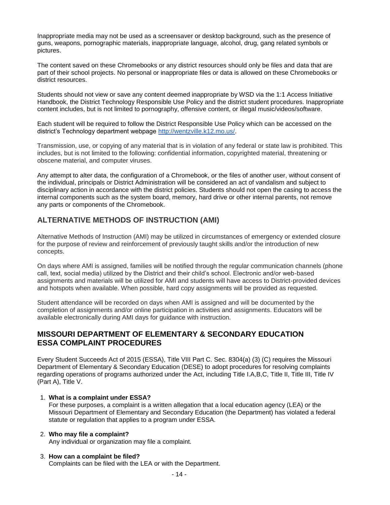Inappropriate media may not be used as a screensaver or desktop background, such as the presence of guns, weapons, pornographic materials, inappropriate language, alcohol, drug, gang related symbols or pictures.

The content saved on these Chromebooks or any district resources should only be files and data that are part of their school projects. No personal or inappropriate files or data is allowed on these Chromebooks or district resources.

Students should not view or save any content deemed inappropriate by WSD via the 1:1 Access Initiative Handbook, the District Technology Responsible Use Policy and the district student procedures. Inappropriate content includes, but is not limited to pornography, offensive content, or illegal music/videos/software.

Each student will be required to follow the District Responsible Use Policy which can be accessed on the district's Technology department webpage [http://wentzville.k12.mo.us/.](http://wentzville.k12.mo.us/)

Transmission, use, or copying of any material that is in violation of any federal or state law is prohibited. This includes, but is not limited to the following: confidential information, copyrighted material, threatening or obscene material, and computer viruses.

Any attempt to alter data, the configuration of a Chromebook, or the files of another user, without consent of the individual, principals or District Administration will be considered an act of vandalism and subject to disciplinary action in accordance with the district policies. Students should not open the casing to access the internal components such as the system board, memory, hard drive or other internal parents, not remove any parts or components of the Chromebook.

### **ALTERNATIVE METHODS OF INSTRUCTION (AMI)**

Alternative Methods of Instruction (AMI) may be utilized in circumstances of emergency or extended closure for the purpose of review and reinforcement of previously taught skills and/or the introduction of new concepts.

On days where AMI is assigned, families will be notified through the regular communication channels (phone call, text, social media) utilized by the District and their child's school. Electronic and/or web-based assignments and materials will be utilized for AMI and students will have access to District-provided devices and hotspots when available. When possible, hard copy assignments will be provided as requested.

Student attendance will be recorded on days when AMI is assigned and will be documented by the completion of assignments and/or online participation in activities and assignments. Educators will be available electronically during AMI days for guidance with instruction.

### **MISSOURI DEPARTMENT OF ELEMENTARY & SECONDARY EDUCATION ESSA COMPLAINT PROCEDURES**

Every Student Succeeds Act of 2015 (ESSA), Title VIII Part C. Sec. 8304(a) (3) (C) requires the Missouri Department of Elementary & Secondary Education (DESE) to adopt procedures for resolving complaints regarding operations of programs authorized under the Act, including Title I.A,B,C, Title II, Title III, Title IV (Part A), Title V.

#### 1. **What is a complaint under ESSA?**

For these purposes, a complaint is a written allegation that a local education agency (LEA) or the Missouri Department of Elementary and Secondary Education (the Department) has violated a federal statute or regulation that applies to a program under ESSA.

#### 2. **Who may file a complaint?**

Any individual or organization may file a complaint.

#### 3. **How can a complaint be filed?**

Complaints can be filed with the LEA or with the Department.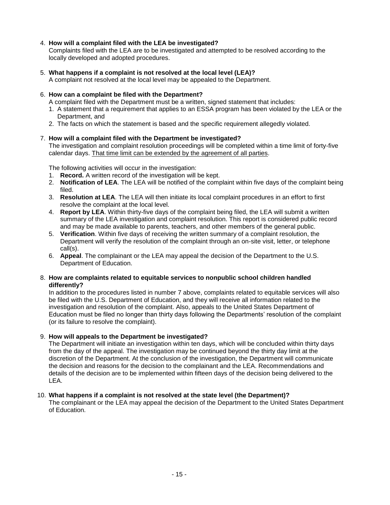#### 4. **How will a complaint filed with the LEA be investigated?**

Complaints filed with the LEA are to be investigated and attempted to be resolved according to the locally developed and adopted procedures.

- 5. **What happens if a complaint is not resolved at the local level (LEA)?** A complaint not resolved at the local level may be appealed to the Department.
- 6. **How can a complaint be filed with the Department?**
	- A complaint filed with the Department must be a written, signed statement that includes:
	- 1. A statement that a requirement that applies to an ESSA program has been violated by the LEA or the Department, and
	- 2. The facts on which the statement is based and the specific requirement allegedly violated.

#### 7. **How will a complaint filed with the Department be investigated?**

The investigation and complaint resolution proceedings will be completed within a time limit of forty-five calendar days. That time limit can be extended by the agreement of all parties.

The following activities will occur in the investigation:

- 1. **Record.** A written record of the investigation will be kept.
- 2. **Notification of LEA**. The LEA will be notified of the complaint within five days of the complaint being filed.
- 3. **Resolution at LEA**. The LEA will then initiate its local complaint procedures in an effort to first resolve the complaint at the local level.
- 4. **Report by LEA**. Within thirty-five days of the complaint being filed, the LEA will submit a written summary of the LEA investigation and complaint resolution. This report is considered public record and may be made available to parents, teachers, and other members of the general public.
- 5. **Verification**. Within five days of receiving the written summary of a complaint resolution, the Department will verify the resolution of the complaint through an on-site visit, letter, or telephone call(s).
- 6. **Appeal**. The complainant or the LEA may appeal the decision of the Department to the U.S. Department of Education.

#### 8. **How are complaints related to equitable services to nonpublic school children handled differently?**

In addition to the procedures listed in number 7 above, complaints related to equitable services will also be filed with the U.S. Department of Education, and they will receive all information related to the investigation and resolution of the complaint. Also, appeals to the United States Department of Education must be filed no longer than thirty days following the Departments' resolution of the complaint (or its failure to resolve the complaint).

#### 9. **How will appeals to the Department be investigated?**

The Department will initiate an investigation within ten days, which will be concluded within thirty days from the day of the appeal. The investigation may be continued beyond the thirty day limit at the discretion of the Department. At the conclusion of the investigation, the Department will communicate the decision and reasons for the decision to the complainant and the LEA. Recommendations and details of the decision are to be implemented within fifteen days of the decision being delivered to the LEA.

#### 10. **What happens if a complaint is not resolved at the state level (the Department)?**

The complainant or the LEA may appeal the decision of the Department to the United States Department of Education.